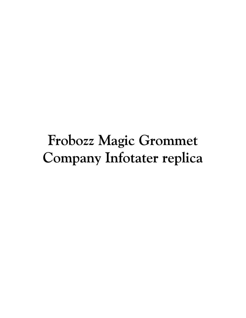## Frobozz Magic Grommet Company Infotater replica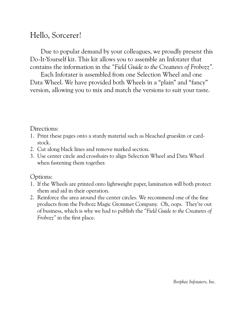## Hello, Sorcerer!

Due to popular demand by your colleagues, we proudly present this Do-It-Yourself kit. This kit allows you to assemble an Infotater that contains the information in the "Field Guide to the Creatures of Frobozz".

Each Infotater is assembled from one Selection Wheel and one Data Wheel. We have provided both Wheels in a "plain" and "fancy" version, allowing you to mix and match the versions to suit your taste.

## Directions:

- 1. Print these pages onto a sturdy material such as bleached grueskin or cardstock.
- 2. Cut along black lines and remove marked section.
- 3. Use center circle and crosshairs to align Selection Wheel and Data Wheel when fastening them together.

## Options:

- 1. If the Wheels are printed onto lightweight paper, lamination will both protect them and aid in their operation.
- 2. Reinforce the area around the center circles. We recommend one of the fine products from the Frobozz Magic Grommet Company. Oh, oops. Theyíre out of business, which is why we had to publish the *ìField Guide to the Creatures of Frobozz*" in the first place.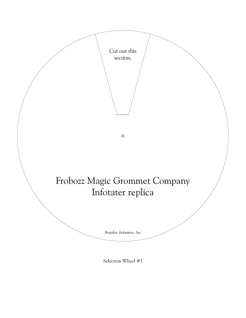

Selection Wheel #1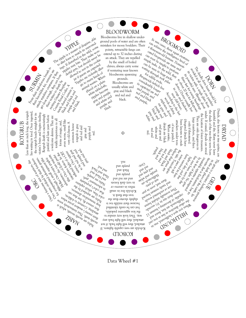

Data Wheel #1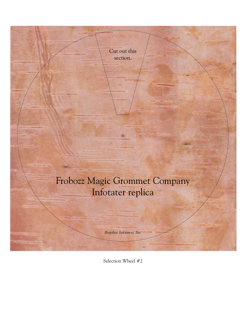

Selection Wheel #2